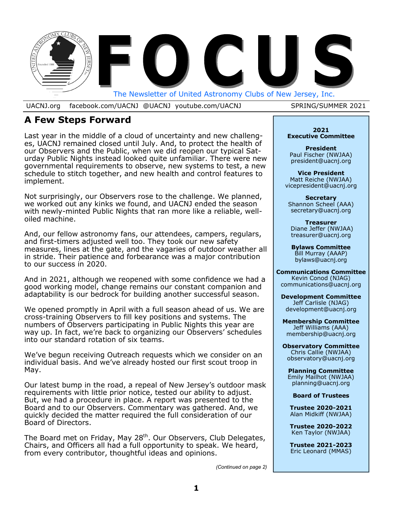

UACNJ.org facebook.com/UACNJ @UACNJ youtube.com/UACNJ SPRING/SUMMER 2021

## **A Few Steps Forward**

Last year in the middle of a cloud of uncertainty and new challenges, UACNJ remained closed until July. And, to protect the health of our Observers and the Public, when we did reopen our typical Saturday Public Nights instead looked quite unfamiliar. There were new governmental requirements to observe, new systems to test, a new schedule to stitch together, and new health and control features to implement.

Not surprisingly, our Observers rose to the challenge. We planned, we worked out any kinks we found, and UACNJ ended the season with newly-minted Public Nights that ran more like a reliable, welloiled machine.

And, our fellow astronomy fans, our attendees, campers, regulars, and first-timers adjusted well too. They took our new safety measures, lines at the gate, and the vagaries of outdoor weather all in stride. Their patience and forbearance was a major contribution to our success in 2020.

And in 2021, although we reopened with some confidence we had a good working model, change remains our constant companion and adaptability is our bedrock for building another successful season.

We opened promptly in April with a full season ahead of us. We are cross-training Observers to fill key positions and systems. The numbers of Observers participating in Public Nights this year are way up. In fact, we're back to organizing our Observers' schedules into our standard rotation of six teams.

We've begun receiving Outreach requests which we consider on an individual basis. And we've already hosted our first scout troop in May.

Our latest bump in the road, a repeal of New Jersey's outdoor mask requirements with little prior notice, tested our ability to adjust. But, we had a procedure in place. A report was presented to the Board and to our Observers. Commentary was gathered. And, we quickly decided the matter required the full consideration of our Board of Directors.

The Board met on Friday, May 28<sup>th</sup>. Our Observers, Club Delegates, Chairs, and Officers all had a full opportunity to speak. We heard, from every contributor, thoughtful ideas and opinions.

**2021 Executive Committee** 

**President**  Paul Fischer (NWJAA) president@uacnj.org

**Vice President**  Matt Reiche (NWJAA) vicepresident@uacnj.org

**Secretary**  Shannon Scheel (AAA) secretary@uacnj.org

**Treasurer**  Diane Jeffer (NWJAA) treasurer@uacnj.org

**Bylaws Committee**  Bill Murray (AAAP) bylaws@uacnj.org

**Communications Committee**  Kevin Conod (NJAG) communications@uacnj.org

**Development Committee** Jeff Carlisle (NJAG) development@uacnj.org

**Membership Committee**  Jeff Williams (AAA) membership@uacnj.org

**Observatory Committee** Chris Callie (NWJAA) observatory@uacnj.org

**Planning Committee** Emily Mailhot (NWJAA) planning@uacnj.org

**Board of Trustees** 

**Trustee 2020-2021**  Alan Midkiff (NWJAA)

**Trustee 2020-2022**  Ken Taylor (NWJAA)

**Trustee 2021-2023**  Eric Leonard (MMAS)

*(Continued on page 2)*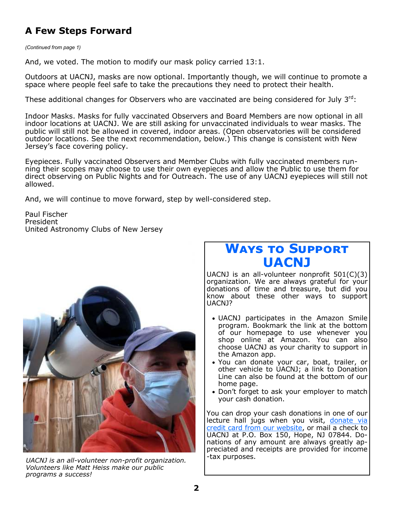# **A Few Steps Forward**

*(Continued from page 1)* 

And, we voted. The motion to modify our mask policy carried 13:1.

Outdoors at UACNJ, masks are now optional. Importantly though, we will continue to promote a space where people feel safe to take the precautions they need to protect their health.

These additional changes for Observers who are vaccinated are being considered for July  $3^{rd}$ :

Indoor Masks. Masks for fully vaccinated Observers and Board Members are now optional in all indoor locations at UACNJ. We are still asking for unvaccinated individuals to wear masks. The public will still not be allowed in covered, indoor areas. (Open observatories will be considered outdoor locations. See the next recommendation, below.) This change is consistent with New Jersey's face covering policy.

Eyepieces. Fully vaccinated Observers and Member Clubs with fully vaccinated members running their scopes may choose to use their own eyepieces and allow the Public to use them for direct observing on Public Nights and for Outreach. The use of any UACNJ eyepieces will still not allowed.

And, we will continue to move forward, step by well-considered step.

Paul Fischer President United Astronomy Clubs of New Jersey



*UACNJ is an all-volunteer non-profit organization. Volunteers like Matt Heiss make our public programs a success!* 

# **WAYS TO SUPPORT UACNJ**

UACNJ is an all-volunteer nonprofit 501(C)(3) organization. We are always grateful for your donations of time and treasure, but did you know about these other ways to support UACNJ?

- UACNJ participates in the Amazon Smile program. Bookmark the link at the bottom of our homepage to use whenever you shop online at Amazon. You can also choose UACNJ as your charity to support in the Amazon app.
- You can donate your car, boat, trailer, or other vehicle to UACNJ; a link to Donation Line can also be found at the bottom of our home page.
- Don't forget to ask your employer to match your cash donation.

You can drop your cash donations in one of our lecture hall jugs when you visit, donate via credit card from our website, or mail a check to UACNJ at P.O. Box 150, Hope, NJ 07844. Donations of any amount are always greatly appreciated and receipts are provided for income -tax purposes.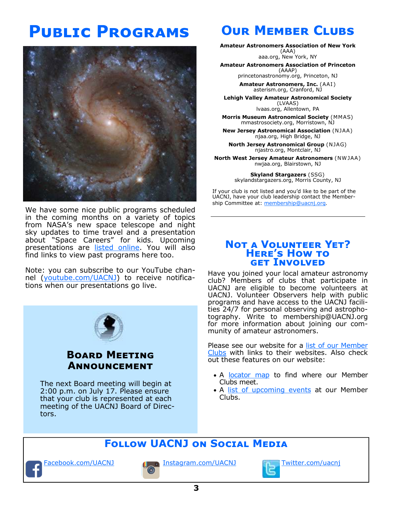# **PUBLIC PROGRAMS**



We have some nice public programs scheduled in the coming months on a variety of topics from NASA's new space telescope and night sky updates to time travel and a presentation about "Space Careers" for kids. Upcoming presentations are listed online. You will also find links to view past programs here too.

Note: you can subscribe to our YouTube channel (youtube.com/UACNJ) to receive notifications when our presentations go live.



### **BOARD MEETING ANNOUNCEMENT**

The next Board meeting will begin at 2:00 p.m. on July 17. Please ensure that your club is represented at each meeting of the UACNJ Board of Directors.

# **OUR MEMBER CLUBS**

**Amateur Astronomers Association of New York**  (AAA)

aaa.org, New York, NY

#### **Amateur Astronomers Association of Princeton**

(AAAP) princetonastronomy.org, Princeton, NJ

**Amateur Astronomers, Inc.** (AAI ) asterism.org, Cranford, NJ

**Lehigh Valley Amateur Astronomical Society**  (LVAAS) lvaas.org, Allentown, PA

**Morris Museum Astronomical Society** (MMAS) mmastrosociety.org, Morristown, NJ

**New Jersey Astronomical Association** (NJAA) njaa.org, High Bridge, NJ

**North Jersey Astronomical Group** (NJAG) njastro.org, Montclair, NJ

**North West Jersey Amateur Astronomers** (NW JAA) nwjaa.org, Blairstown, NJ

> **Skyland Stargazers** (SSG) skylandstargazers.org, Morris County, NJ

If your club is not listed and you'd like to be part of the UACNJ, have your club leadership contact the Membership Committee at: membership@uacnj.org.

### **NOT A VOLUNTEER YET? HERE'S HOW TO GET INVOLVED**

Have you joined your local amateur astronomy club? Members of clubs that participate in UACNJ are eligible to become volunteers at UACNJ. Volunteer Observers help with public programs and have access to the UACNJ facilities 24/7 for personal observing and astrophotography. Write to membership@UACNJ.org for more information about joining our community of amateur astronomers.

Please see our website for a list of our Member Clubs with links to their websites. Also check out these features on our website:

- A locator map to find where our Member Clubs meet.
- A list of upcoming events at our Member Clubs.

# **FOLLOW UACNJ ON SOCIAL MEDIA**